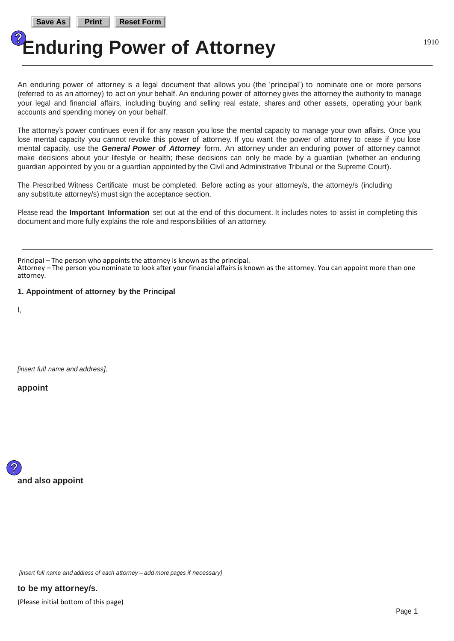An enduring power of attorney is a legal document that allows you (the 'principal') to nominate one or more persons (referred to as an attorney) to act on your behalf. An enduring power of attorney gives the attorney the authority to manage your legal and financial affairs, including buying and selling real estate, shares and other assets, operating your bank accounts and spending money on your behalf.

The attorney's power continues even if for any reason you lose the mental capacity to manage your own affairs. Once you lose mental capacity you cannot revoke this power of attorney. If you want the power of attorney to cease if you lose mental capacity, use the *General Power of Attorney* form. An attorney under an enduring power of attorney cannot make decisions about your lifestyle or health; these decisions can only be made by a guardian (whether an enduring guardian appointed by you or a guardian appointed by the Civil and Administrative Tribunal or the Supreme Court).

The Prescribed Witness Certificate must be completed. Before acting as your attorney/s, the attorney/s (including any substitute attorney/s) must sign the acceptance section.

Please read the **Important Information** set out at the end of this document. It includes notes to assist in completing this document and more fully explains the role and responsibilities of an attorney.

Principal – The person who appoints the attorney is known as the principal.

Attorney – The person you nominate to look after your financial affairs is known as the attorney. You can appoint more than one attorney.

**1. Appointment of attorney by the Principal**

I,

*[insert full name and address],*

**appoint**



*[insert full name and address of each attorney – add more pages if necessary]*

(Please initial bottom of this page) **to be my attorney/s.**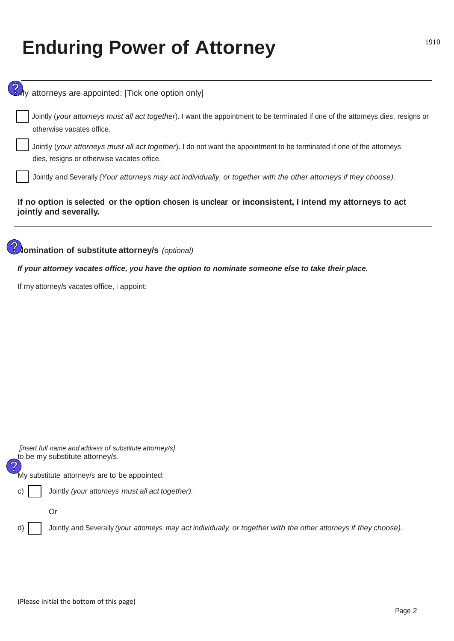| y attorneys are appointed: [Tick one option only]                                                                                                                    |  |  |  |  |
|----------------------------------------------------------------------------------------------------------------------------------------------------------------------|--|--|--|--|
| Jointly (your attorneys must all act together). I want the appointment to be terminated if one of the attorneys dies, resigns or<br>otherwise vacates office.        |  |  |  |  |
| Jointly (your attorneys must all act together). I do not want the appointment to be terminated if one of the attorneys<br>dies, resigns or otherwise vacates office. |  |  |  |  |
| Jointly and Severally (Your attorneys may act individually, or together with the other attorneys if they choose).                                                    |  |  |  |  |
| If no option is selected or the option chosen is unclear or inconsistent, I intend my attorneys to act<br>jointly and severally.                                     |  |  |  |  |
| <b>Jomination of substitute attorney/s</b> (optional)                                                                                                                |  |  |  |  |
| If your attorney vacates office, you have the option to nominate someone else to take their place.                                                                   |  |  |  |  |
| If my attorney/s vacates office, I appoint:                                                                                                                          |  |  |  |  |
|                                                                                                                                                                      |  |  |  |  |
|                                                                                                                                                                      |  |  |  |  |
|                                                                                                                                                                      |  |  |  |  |
|                                                                                                                                                                      |  |  |  |  |
|                                                                                                                                                                      |  |  |  |  |
|                                                                                                                                                                      |  |  |  |  |
|                                                                                                                                                                      |  |  |  |  |
|                                                                                                                                                                      |  |  |  |  |
|                                                                                                                                                                      |  |  |  |  |
| [insert full name and address of substitute attorney/s]<br>to be my substitute attorney/s.<br>$\, \mathbb{Q} \,$                                                     |  |  |  |  |
| My substitute attorney/s are to be appointed:                                                                                                                        |  |  |  |  |
| Jointly (your attorneys must all act together).<br>C                                                                                                                 |  |  |  |  |
| Or                                                                                                                                                                   |  |  |  |  |
| Jointly and Severally (your attorneys may act individually, or together with the other attorneys if they choose).                                                    |  |  |  |  |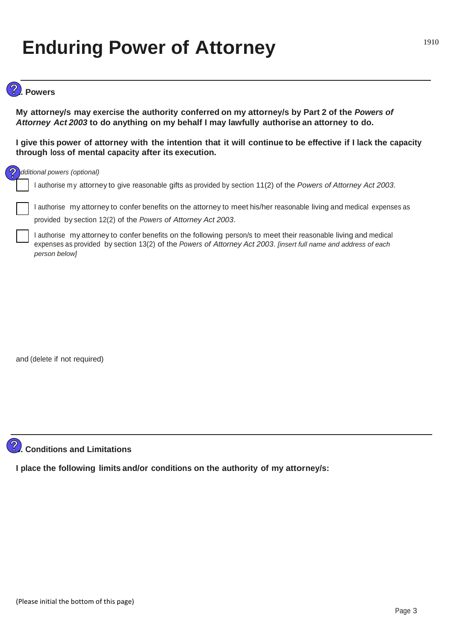### **2. Powers**

**My attorney/s may exercise the authority conferred on my attorney/s by Part 2 of the** *Powers of Attorney Act 2003* **to do anything on my behalf I may lawfully authorise an attorney to do.**

**I give this power of attorney with the intention that it will continue to be effective if I lack the capacity through loss of mental capacity after its execution.**

#### *Additional powers (optional)*

I authorise my attorney to give reasonable gifts as provided by section 11(2) of the *Powers of Attorney Act 2003*.

❏ <sup>I</sup> authorise my attorney to confer benefits on the attorney to meet his/her reasonable living and medical expenses as provided by section 12(2) of the *Powers of Attorney Act 2003*.

I authorise my attorney to confer benefits on the following person/s to meet their reasonable living and medical expenses as provided by section 13(2) of the *Powers of Attorney Act 2003*. *[insert full name and address of each person below]*

and (delete if not required)



#### **3. Conditions and Limitations**

**I place the following limits and/or conditions on the authority of my attorney/s:**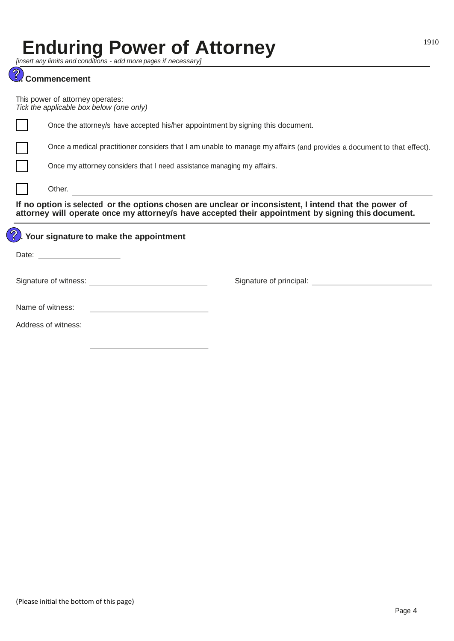*[insert any limits and conditions - add more pages if necessary]*

|                                                                                                                                                                                                              | <u>Reference and conditions - and more pages in riecessary in</u><br><b>Commencement</b>                              |  |  |  |  |
|--------------------------------------------------------------------------------------------------------------------------------------------------------------------------------------------------------------|-----------------------------------------------------------------------------------------------------------------------|--|--|--|--|
|                                                                                                                                                                                                              | This power of attorney operates:<br>Tick the applicable box below (one only)                                          |  |  |  |  |
|                                                                                                                                                                                                              | Once the attorney/s have accepted his/her appointment by signing this document.                                       |  |  |  |  |
|                                                                                                                                                                                                              | Once a medical practitioner considers that I am unable to manage my affairs (and provides a document to that effect). |  |  |  |  |
|                                                                                                                                                                                                              | Once my attorney considers that I need assistance managing my affairs.                                                |  |  |  |  |
|                                                                                                                                                                                                              | Other.                                                                                                                |  |  |  |  |
| If no option is selected or the options chosen are unclear or inconsistent, I intend that the power of<br>attorney will operate once my attorney/s have accepted their appointment by signing this document. |                                                                                                                       |  |  |  |  |
| Your signature to make the appointment                                                                                                                                                                       |                                                                                                                       |  |  |  |  |
|                                                                                                                                                                                                              |                                                                                                                       |  |  |  |  |
|                                                                                                                                                                                                              | Signature of principal: Signature of principal:<br>Signature of witness:                                              |  |  |  |  |
|                                                                                                                                                                                                              | Name of witness:                                                                                                      |  |  |  |  |

Address of witness: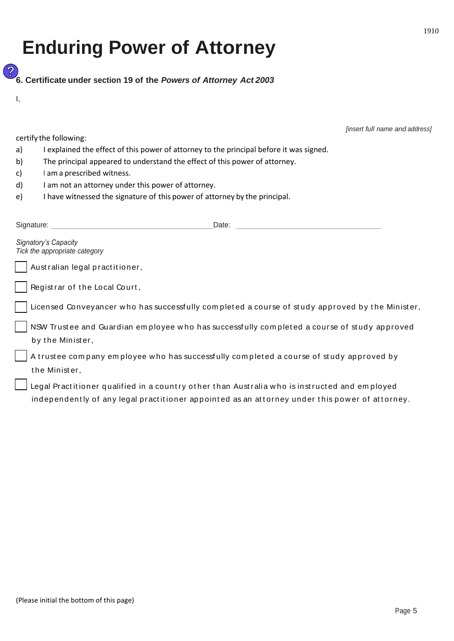<u> (Z</u> **6. Certificate under section 19 of the** *Powers of Attorney Act 2003*

I,

certify the following:

*[insert full name and address]*

- a) I explained the effect of this power of attorney to the principal before it was signed.
- b) The principal appeared to understand the effect of this power of attorney.
- c) I am a prescribed witness.
- d) I am not an attorney under this power of attorney.
- e) I have witnessed the signature of this power of attorney by the principal.

| Signature:<br>Date:                                                                                                                                                                             |
|-------------------------------------------------------------------------------------------------------------------------------------------------------------------------------------------------|
| <b>Signatory's Capacity</b><br>Tick the appropriate category                                                                                                                                    |
| Australian legal practitioner,                                                                                                                                                                  |
| Registrar of the Local Court,                                                                                                                                                                   |
| Licensed Conveyancer who has successfully completed a course of study approved by the Minister,                                                                                                 |
| NSW Trustee and Guardian employee who has successfully completed a course of study approved<br>by the Minister,                                                                                 |
| A trustee company employee who has successfully completed a course of study approved by<br>the Minister,                                                                                        |
| Legal Practitioner qualified in a country other than Australia who is instructed and employed<br>independently of any legal practitioner appointed as an attorney under this power of attorney. |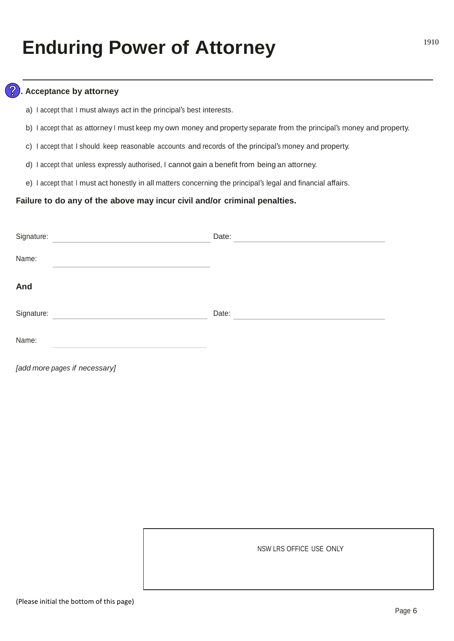#### **7. Acceptance by attorney**

- a) <sup>I</sup> accept that <sup>I</sup> must always act in the principal's best interests.
- b) <sup>I</sup> accept that as attorney <sup>I</sup> must keep my own money and property separate from the principal's money and property.
- c) I accept that I should keep reasonable accounts and records of the principal's money and property.
- d) I accept that unless expressly authorised, I cannot gain a benefit from being an attorney.
- e) <sup>I</sup> accept that <sup>I</sup> must act honestly in all matters concerning the principal's legal and financial affairs.

#### **Failure to do any of the above may incur civil and/or criminal penalties.**

| Signature: | Date: |
|------------|-------|
| Name:      |       |
| And        |       |
| Signature: | Date: |
| Name:      |       |

*[add more pages if necessary]*

NSW LRS OFFICE USE ONLY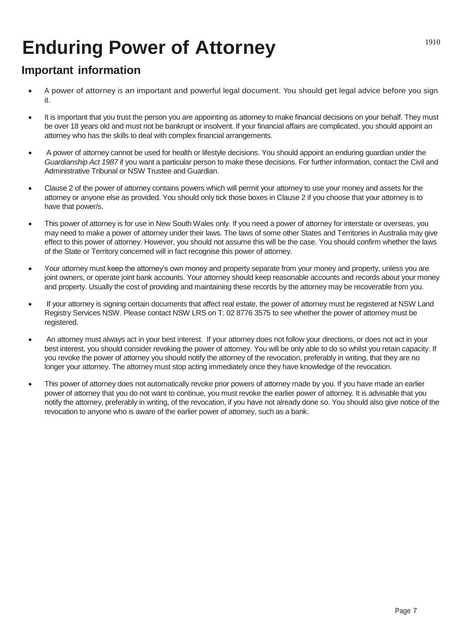### **Important information**

- A power of attorney is an important and powerful legal document. You should get legal advice before you sign it.
- It is important that you trust the person you are appointing as attorney to make financial decisions on your behalf. They must be over 18 years old and must not be bankrupt or insolvent. If your financial affairs are complicated, you should appoint an attorney who has the skills to deal with complex financial arrangements.
- A power of attorney cannot be used for health or lifestyle decisions. You should appoint an enduring guardian under the *Guardianship Act 1987* if you want a particular person to make these decisions. For further information, contact the Civil and Administrative Tribunal or NSW Trustee and Guardian.
- Clause 2 of the power of attorney contains powers which will permit your attorney to use your money and assets for the attorney or anyone else as provided. You should only tick those boxes in Clause 2 if you choose that your attorney is to have that power/s.
- This power of attorney is for use in New South Wales only. If you need a power of attorney for interstate or overseas, you may need to make a power of attorney under their laws. The laws of some other States and Territories in Australia may give effect to this power of attorney. However, you should not assume this will be the case. You should confirm whether the laws of the State or Territory concerned will in fact recognise this power of attorney.
- Your attorney must keep the attorney's own money and property separate from your money and property, unless you are joint owners, or operate joint bank accounts. Your attorney should keep reasonable accounts and records about your money and property. Usually the cost of providing and maintaining these records by the attorney may be recoverable from you.
- If your attorney is signing certain documents that affect real estate, the power of attorney must be registered at NSW Land Registry Services NSW. Please contact NSW LRS on T: 02 8776 3575 to see whether the power of attorney must be registered.
- An attorney must always act in your best interest. If your attorney does not follow your directions, or does not act in your best interest, you should consider revoking the power of attorney. You will be only able to do so whilst you retain capacity. If you revoke the power of attorney you should notify the attorney of the revocation, preferably in writing, that they are no longer your attorney. The attorney must stop acting immediately once they have knowledge of the revocation.
- This power of attorney does not automatically revoke prior powers of attorney made by you. If you have made an earlier power of attorney that you do not want to continue, you must revoke the earlier power of attorney. It is advisable that you notify the attorney, preferably in writing, of the revocation, if you have not already done so. You should also give notice of the revocation to anyone who is aware of the earlier power of attorney, such as a bank.